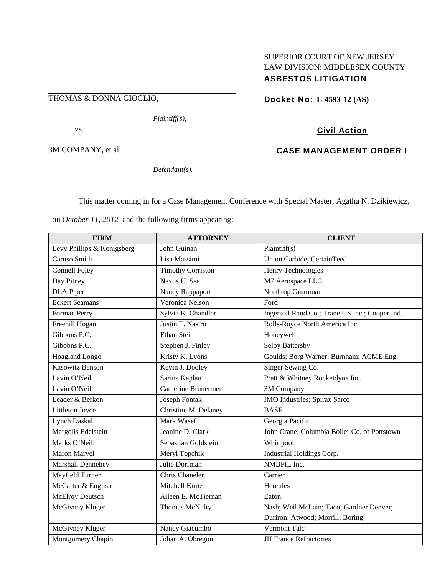### SUPERIOR COURT OF NEW JERSEY LAW DIVISION: MIDDLESEX COUNTY ASBESTOS LITIGATION

# THOMAS & DONNA GIOGLIO,

*Plaintiff(s),* 

vs.

3M COMPANY, et al

*Defendant(s).* 

Docket No: **L-4593-12 (AS)** 

# Civil Action

### CASE MANAGEMENT ORDER I

This matter coming in for a Case Management Conference with Special Master, Agatha N. Dzikiewicz,

on *October 11, 2012* and the following firms appearing:

| <b>FIRM</b>                | <b>ATTORNEY</b>            | <b>CLIENT</b>                                  |
|----------------------------|----------------------------|------------------------------------------------|
| Levy Phillips & Konigsberg | John Guinan                | Plaintiff(s)                                   |
| Caruso Smith               | Lisa Massimi               | Union Carbide; CertainTeed                     |
| <b>Connell Foley</b>       | <b>Timothy Corriston</b>   | Henry Technologies                             |
| Day Pitney                 | Nexus U. Sea               | M7 Aerospace LLC                               |
| <b>DLA</b> Piper           | Nancy Rappaport            | Northrop Grumman                               |
| <b>Eckert Seamans</b>      | Veronica Nelson            | Ford                                           |
| Forman Perry               | Sylvia K. Chandler         | Ingersoll Rand Co.; Trane US Inc.; Cooper Ind. |
| Freehill Hogan             | Justin T. Nastro           | Rolls-Royce North America Inc.                 |
| Gibbons P.C.               | <b>Ethan Stein</b>         | Honeywell                                      |
| Gibobns P.C.               | Stephen J. Finley          | Selby Battersby                                |
| Hoagland Longo             | Kristy K. Lyons            | Goulds; Borg Warner; Burnham; ACME Eng.        |
| <b>Kasowitz Benson</b>     | Kevin J. Dooley            | Singer Sewing Co.                              |
| Lavin O'Neil               | Sarina Kaplan              | Pratt & Whitney Rocketdyne Inc.                |
| Lavin O'Neil               | <b>Catherine Brunermer</b> | 3M Company                                     |
| Leader & Berkon            | Joseph Fontak              | IMO Industries; Spirax Sarco                   |
| Littleton Joyce            | Christine M. Delaney       | <b>BASF</b>                                    |
| <b>Lynch Daskal</b>        | Mark Wasef                 | Georgia Pacific                                |
| Margolis Edelstein         | Jeanine D. Clark           | John Crane; Columbia Boiler Co. of Pottstown   |
| Marks O'Neill              | Sebastian Goldstein        | Whirlpool                                      |
| <b>Maron Marvel</b>        | Meryl Topchik              | Industrial Holdings Corp.                      |
| Marshall Dennehey          | Julie Dorfman              | NMBFIL Inc.                                    |
| Mayfield Turner            | Chris Chaneler             | Carrier                                        |
| McCarter & English         | Mitchell Kurtz             | Hercules                                       |
| <b>McElroy Deutsch</b>     | Aileen E. McTiernan        | Eaton                                          |
| McGivney Kluger            | <b>Thomas McNulty</b>      | Nash; Weil McLain; Taco; Gardner Denver;       |
|                            |                            | Duriron; Atwood; Morrill; Boring               |
| McGivney Kluger            | Nancy Giacumbo             | Vermont Talc                                   |
| Montgomery Chapin          | Johan A. Obregon           | <b>JH France Refractories</b>                  |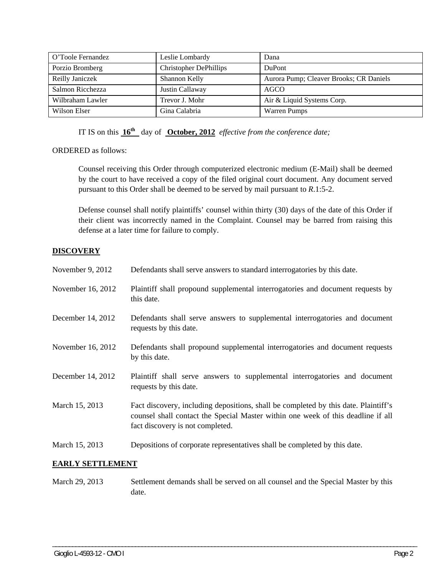| O'Toole Fernandez | Leslie Lombardy               | Dana                                    |
|-------------------|-------------------------------|-----------------------------------------|
| Porzio Bromberg   | <b>Christopher DePhillips</b> | <b>DuPont</b>                           |
| Reilly Janiczek   | Shannon Kelly                 | Aurora Pump; Cleaver Brooks; CR Daniels |
| Salmon Ricchezza  | Justin Callaway               | <b>AGCO</b>                             |
| Wilbraham Lawler  | Trevor J. Mohr                | Air & Liquid Systems Corp.              |
| Wilson Elser      | Gina Calabria                 | <b>Warren Pumps</b>                     |

IT IS on this **16th** day of **October, 2012** *effective from the conference date;*

ORDERED as follows:

Counsel receiving this Order through computerized electronic medium (E-Mail) shall be deemed by the court to have received a copy of the filed original court document. Any document served pursuant to this Order shall be deemed to be served by mail pursuant to *R*.1:5-2.

Defense counsel shall notify plaintiffs' counsel within thirty (30) days of the date of this Order if their client was incorrectly named in the Complaint. Counsel may be barred from raising this defense at a later time for failure to comply.

#### **DISCOVERY**

| November 9, 2012  | Defendants shall serve answers to standard interrogatories by this date.                                                                                                                                    |
|-------------------|-------------------------------------------------------------------------------------------------------------------------------------------------------------------------------------------------------------|
| November 16, 2012 | Plaintiff shall propound supplemental interrogatories and document requests by<br>this date.                                                                                                                |
| December 14, 2012 | Defendants shall serve answers to supplemental interrogatories and document<br>requests by this date.                                                                                                       |
| November 16, 2012 | Defendants shall propound supplemental interrogatories and document requests<br>by this date.                                                                                                               |
| December 14, 2012 | Plaintiff shall serve answers to supplemental interrogatories and document<br>requests by this date.                                                                                                        |
| March 15, 2013    | Fact discovery, including depositions, shall be completed by this date. Plaintiff's<br>counsel shall contact the Special Master within one week of this deadline if all<br>fact discovery is not completed. |
| March 15, 2013    | Depositions of corporate representatives shall be completed by this date.                                                                                                                                   |

#### **EARLY SETTLEMENT**

March 29, 2013 Settlement demands shall be served on all counsel and the Special Master by this date.

\_\_\_\_\_\_\_\_\_\_\_\_\_\_\_\_\_\_\_\_\_\_\_\_\_\_\_\_\_\_\_\_\_\_\_\_\_\_\_\_\_\_\_\_\_\_\_\_\_\_\_\_\_\_\_\_\_\_\_\_\_\_\_\_\_\_\_\_\_\_\_\_\_\_\_\_\_\_\_\_\_\_\_\_\_\_\_\_\_\_\_\_\_\_\_\_\_\_\_\_\_\_\_\_\_\_\_\_\_\_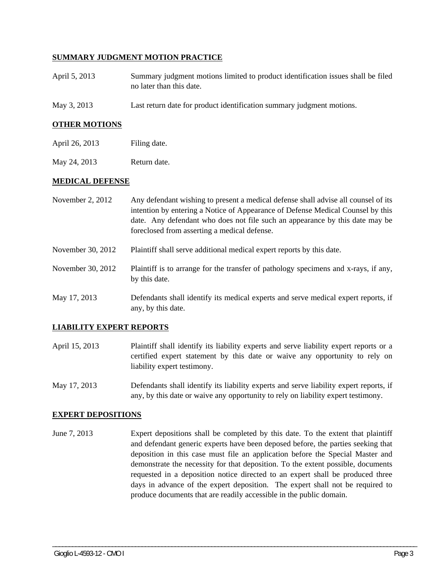#### **SUMMARY JUDGMENT MOTION PRACTICE**

- April 5, 2013 Summary judgment motions limited to product identification issues shall be filed no later than this date.
- May 3, 2013 Last return date for product identification summary judgment motions.

#### **OTHER MOTIONS**

May 24, 2013 Return date.

#### **MEDICAL DEFENSE**

- November 2, 2012 Any defendant wishing to present a medical defense shall advise all counsel of its intention by entering a Notice of Appearance of Defense Medical Counsel by this date. Any defendant who does not file such an appearance by this date may be foreclosed from asserting a medical defense.
- November 30, 2012 Plaintiff shall serve additional medical expert reports by this date.
- November 30, 2012 Plaintiff is to arrange for the transfer of pathology specimens and x-rays, if any, by this date.
- May 17, 2013 Defendants shall identify its medical experts and serve medical expert reports, if any, by this date.

#### **LIABILITY EXPERT REPORTS**

- April 15, 2013 Plaintiff shall identify its liability experts and serve liability expert reports or a certified expert statement by this date or waive any opportunity to rely on liability expert testimony.
- May 17, 2013 Defendants shall identify its liability experts and serve liability expert reports, if any, by this date or waive any opportunity to rely on liability expert testimony.

#### **EXPERT DEPOSITIONS**

June 7, 2013 Expert depositions shall be completed by this date. To the extent that plaintiff and defendant generic experts have been deposed before, the parties seeking that deposition in this case must file an application before the Special Master and demonstrate the necessity for that deposition. To the extent possible, documents requested in a deposition notice directed to an expert shall be produced three days in advance of the expert deposition. The expert shall not be required to produce documents that are readily accessible in the public domain.

\_\_\_\_\_\_\_\_\_\_\_\_\_\_\_\_\_\_\_\_\_\_\_\_\_\_\_\_\_\_\_\_\_\_\_\_\_\_\_\_\_\_\_\_\_\_\_\_\_\_\_\_\_\_\_\_\_\_\_\_\_\_\_\_\_\_\_\_\_\_\_\_\_\_\_\_\_\_\_\_\_\_\_\_\_\_\_\_\_\_\_\_\_\_\_\_\_\_\_\_\_\_\_\_\_\_\_\_\_\_